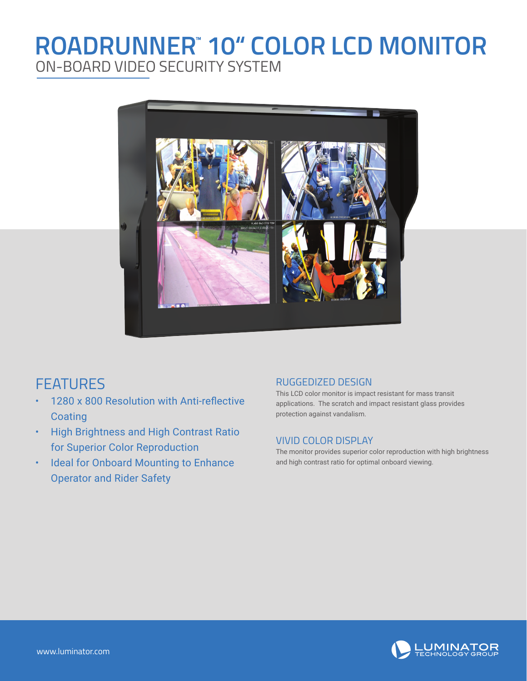## **ROADRUNNER® 10" COLOR LCD MONITOR** ON-BOARD VIDEO SECURITY SYSTEM



### FEATURES

- 1280 x 800 Resolution with Anti-reflective **Coating**
- High Brightness and High Contrast Ratio for Superior Color Reproduction
- Ideal for Onboard Mounting to Enhance Operator and Rider Safety

#### RUGGEDIZED DESIGN

This LCD color monitor is impact resistant for mass transit applications. The scratch and impact resistant glass provides protection against vandalism.

#### VIVID COLOR DISPLAY

The monitor provides superior color reproduction with high brightness and high contrast ratio for optimal onboard viewing.